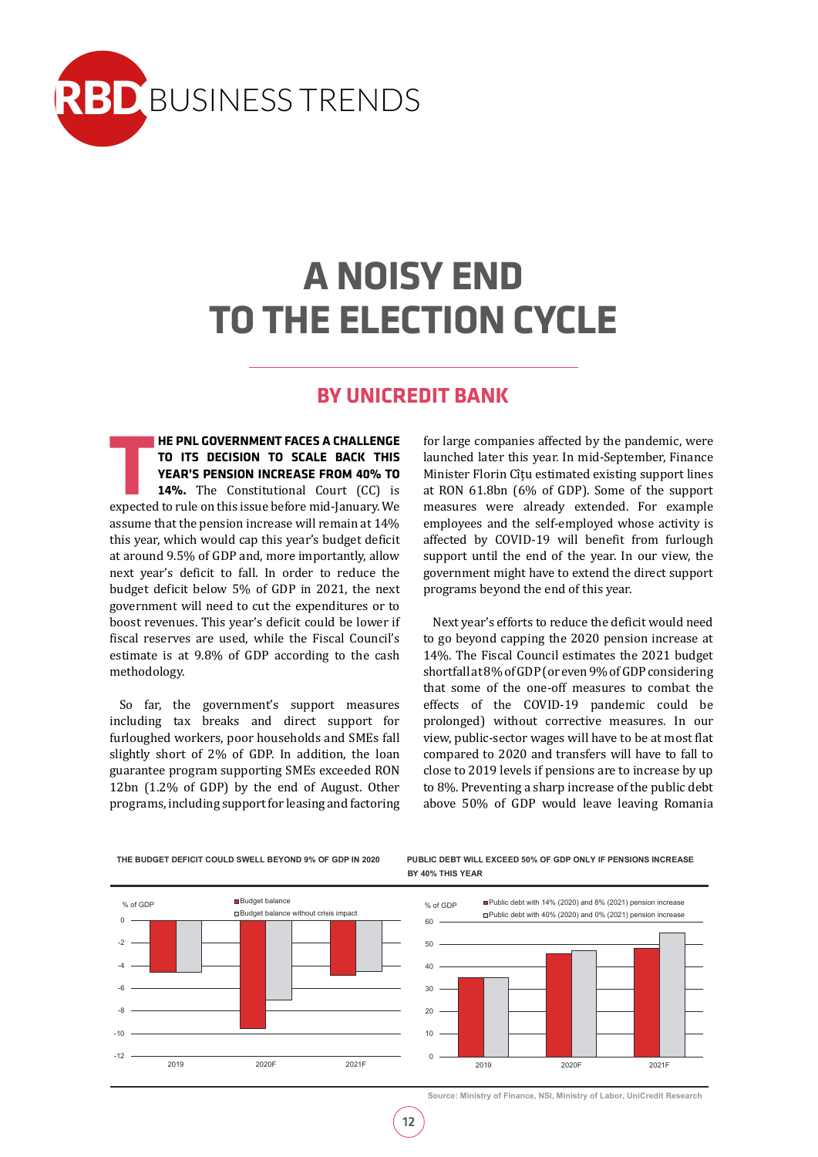

# **A NOISY END TO THE ELECTION CYCLE**

# **BY UNICREDIT BANK**

**THE PNL GOVERNMENT FACES A CHALLENGE<br>
TO ITS DECISION TO SCALE BACK THIS<br>
YEAR'S PENSION INCREASE FROM 40% TO<br>
14%. The Constitutional Court (CC) is<br>
expected to rule on this issue before mid-January. We HE PNL GOVERNMENT FACES A CHALLENGE TO ITS DECISION TO SCALE BACK THIS YEAR'S PENSION INCREASE FROM 40% TO 14%.** The Constitutional Court (CC) is assume that the pension increase will remain at 14% this year, which would cap this year's budget deficit at around 9.5% of GDP and, more importantly, allow next year's deficit to fall. In order to reduce the budget deficit below 5% of GDP in 2021, the next government will need to cut the expenditures or to boost revenues. This year's deficit could be lower if fiscal reserves are used, while the Fiscal Council's estimate is at 9.8% of GDP according to the cash methodology.

So far, the government's support measures including tax breaks and direct support for furloughed workers, poor households and SMEs fall slightly short of 2% of GDP. In addition, the loan guarantee program supporting SMEs exceeded RON 12bn (1.2% of GDP) by the end of August. Other programs, including support for leasing and factoring

for large companies affected by the pandemic, were launched later this year. In mid-September, Finance Minister Florin Cîțu estimated existing support lines at RON 61.8bn (6% of GDP). Some of the support measures were already extended. For example employees and the self-employed whose activity is affected by COVID-19 will benefit from furlough support until the end of the year. In our view, the government might have to extend the direct support programs beyond the end of this year.

Next year's efforts to reduce the deficit would need to go beyond capping the 2020 pension increase at 14%. The Fiscal Council estimates the 2021 budget shortfall at 8% of GDP (or even 9% of GDP considering that some of the one-off measures to combat the effects of the COVID-19 pandemic could be prolonged) without corrective measures. In our view, public-sector wages will have to be at most flat compared to 2020 and transfers will have to fall to close to 2019 levels if pensions are to increase by up to 8%. Preventing a sharp increase of the public debt above 50% of GDP would leave leaving Romania



THE BUDGET DEFICIT COULD SWELL BEYOND 9% OF GDP IN 2020 PUBLIC DEBT WILL EXCEED 50% OF GDP ONLY IF PENSIONS INCREASE **b BY 40% THIS YEAR**



**Source: Ministry of Finance, NSI, Ministry of Labor, UniCredit Research**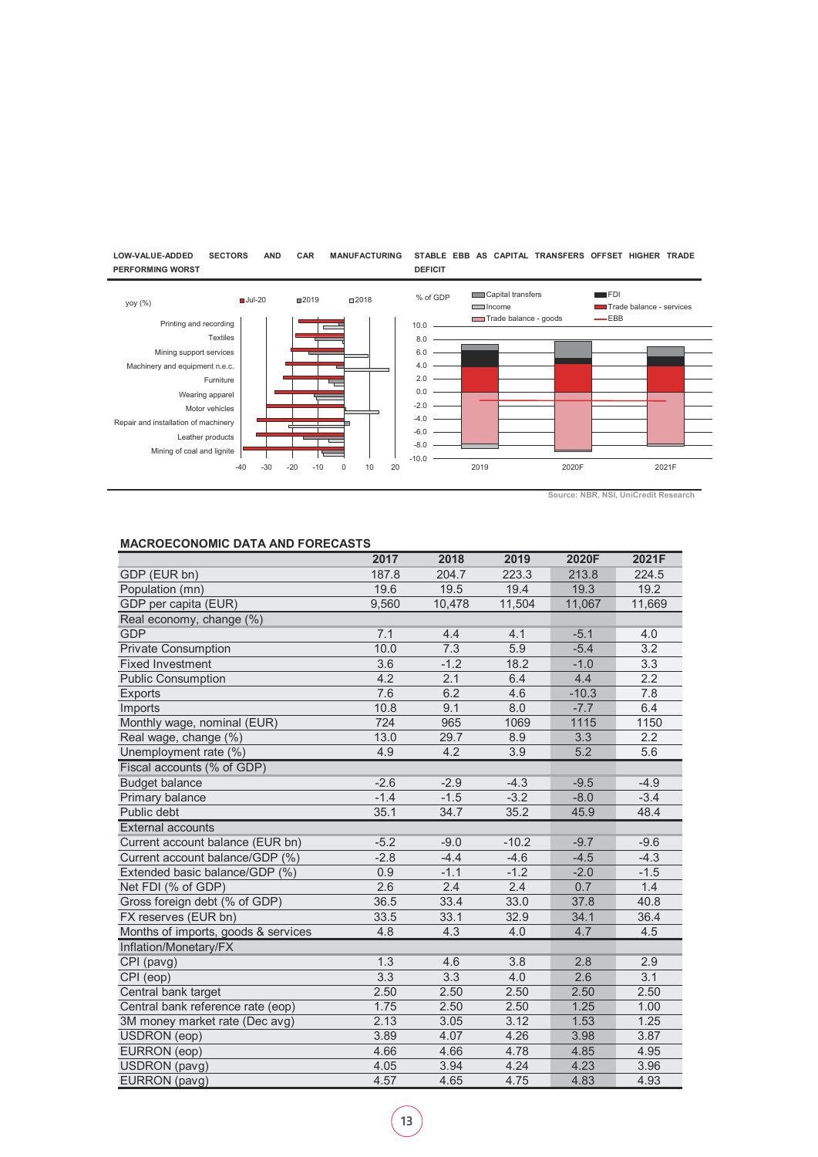

**DEFICIT**

#### **LOW-VALUE-ADDED SECTORS AND CAR MANUFACTURING STABLE EBB AS CAPITAL TRANSFERS OFFSET HIGHER TRADE PERFORMING WORST**

**Source: NBR, NSI, UniCredit Research**

## **MACROECONOMIC DATA AND FORECASTS**

|                                     | 2017   | 2018   | 2019             | 2020F   | 2021F  |
|-------------------------------------|--------|--------|------------------|---------|--------|
| GDP (EUR bn)                        | 187.8  | 204.7  | 223.3            | 213.8   | 224.5  |
| Population (mn)                     | 19.6   | 19.5   | 19.4             | 19.3    | 19.2   |
| GDP per capita (EUR)                | 9,560  | 10,478 | 11,504           | 11,067  | 11,669 |
| Real economy, change (%)            |        |        |                  |         |        |
| <b>GDP</b>                          | 7.1    | 4.4    | 4.1              | $-5.1$  | 4.0    |
| <b>Private Consumption</b>          | 10.0   | 7.3    | $\overline{5.9}$ | $-5.4$  | 3.2    |
| <b>Fixed Investment</b>             | 3.6    | $-1.2$ | 18.2             | $-1.0$  | 3.3    |
| <b>Public Consumption</b>           | 4.2    | 2.1    | 6.4              | 4.4     | 2.2    |
| Exports                             | 7.6    | 6.2    | 4.6              | $-10.3$ | 7.8    |
| Imports                             | 10.8   | 9.1    | 8.0              | $-7.7$  | 6.4    |
| Monthly wage, nominal (EUR)         | 724    | 965    | 1069             | 1115    | 1150   |
| Real wage, change (%)               | 13.0   | 29.7   | 8.9              | 3.3     | 2.2    |
| Unemployment rate (%)               | 4.9    | 4.2    | 3.9              | 5.2     | 5.6    |
| Fiscal accounts (% of GDP)          |        |        |                  |         |        |
| <b>Budget balance</b>               | $-2.6$ | $-2.9$ | $-4.3$           | $-9.5$  | $-4.9$ |
| Primary balance                     | $-1.4$ | $-1.5$ | $-3.2$           | $-8.0$  | $-3.4$ |
| Public debt                         | 35.1   | 34.7   | 35.2             | 45.9    | 48.4   |
| <b>External accounts</b>            |        |        |                  |         |        |
| Current account balance (EUR bn)    | $-5.2$ | $-9.0$ | $-10.2$          | $-9.7$  | $-9.6$ |
| Current account balance/GDP (%)     | $-2.8$ | $-4.4$ | $-4.6$           | $-4.5$  | $-4.3$ |
| Extended basic balance/GDP (%)      | 0.9    | $-1.1$ | $-1.2$           | $-2.0$  | $-1.5$ |
| Net FDI (% of GDP)                  | 2.6    | 2.4    | 2.4              | 0.7     | 1.4    |
| Gross foreign debt (% of GDP)       | 36.5   | 33.4   | 33.0             | 37.8    | 40.8   |
| FX reserves (EUR bn)                | 33.5   | 33.1   | 32.9             | 34.1    | 36.4   |
| Months of imports, goods & services | 4.8    | 4.3    | 4.0              | 4.7     | 4.5    |
| Inflation/Monetary/FX               |        |        |                  |         |        |
| CPI (pavg)                          | 1.3    | 4.6    | 3.8              | 2.8     | 2.9    |
| CPI (eop)                           | 3.3    | 3.3    | 4.0              | 2.6     | 3.1    |
| Central bank target                 | 2.50   | 2.50   | 2.50             | 2.50    | 2.50   |
| Central bank reference rate (eop)   | 1.75   | 2.50   | 2.50             | 1.25    | 1.00   |
| 3M money market rate (Dec avg)      | 2.13   | 3.05   | 3.12             | 1.53    | 1.25   |
| <b>USDRON</b> (eop)                 | 3.89   | 4.07   | 4.26             | 3.98    | 3.87   |
| EURRON (eop)                        | 4.66   | 4.66   | 4.78             | 4.85    | 4.95   |
| <b>USDRON</b> (pavg)                | 4.05   | 3.94   | 4.24             | 4.23    | 3.96   |
| EURRON (pavg)                       | 4.57   | 4.65   | 4.75             | 4.83    | 4.93   |